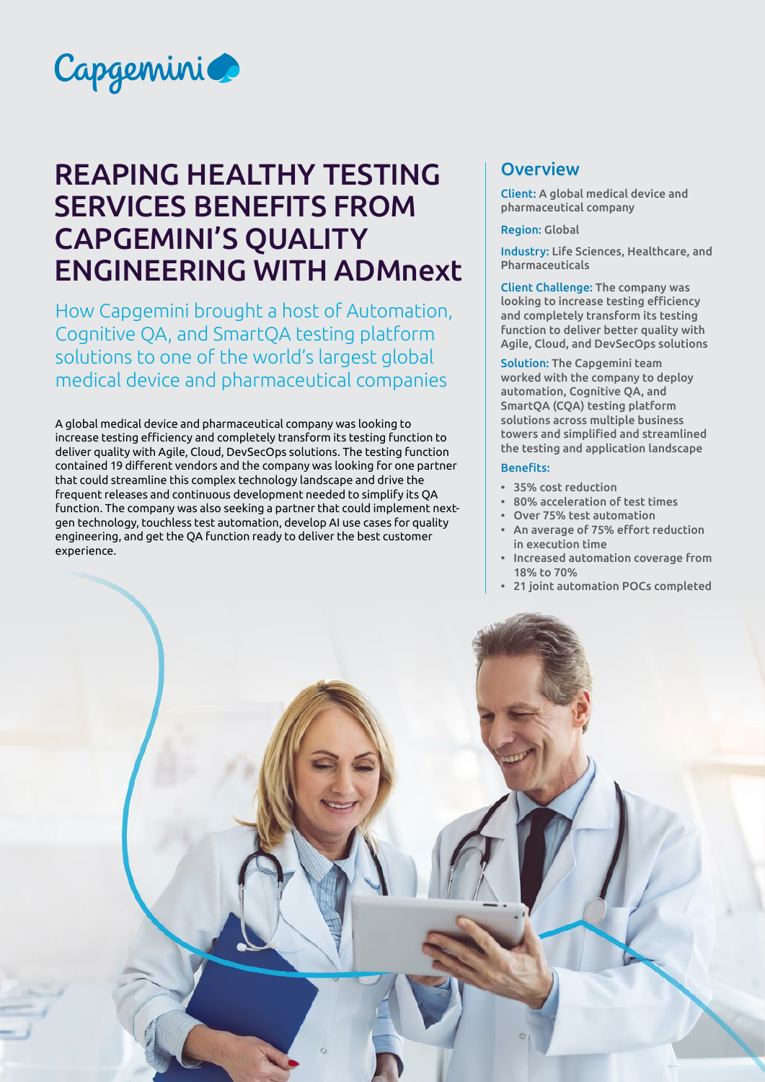

# REAPING HEALTHY TESTING SERVICES BENEFITS FROM CAPGEMINI'S QUALITY ENGINEERING WITH ADMnext

How Capgemini brought a host of Automation, Cognitive QA, and SmartQA testing platform solutions to one of the world's largest global medical device and pharmaceutical companies

A global medical device and pharmaceutical company was looking to increase testing efficiency and completely transform its testing function to deliver quality with Agile, Cloud, DevSecOps solutions. The testing function contained 19 different vendors and the company was looking for one partner that could streamline this complex technology landscape and drive the frequent releases and continuous development needed to simplify its QA function. The company was also seeking a partner that could implement nextgen technology, touchless test automation, develop AI use cases for quality engineering, and get the QA function ready to deliver the best customer experience.

## **Overview**

Client: A global medical device and pharmaceutical company

#### Region: Global

Industry: Life Sciences, Healthcare, and Pharmaceuticals

Client Challenge: The company was looking to increase testing efficiency and completely transform its testing function to deliver better quality with Agile, Cloud, and DevSecOps solutions

Solution: The Capgemini team worked with the company to deploy automation, Cognitive QA, and SmartQA (CQA) testing platform solutions across multiple business towers and simplified and streamlined the testing and application landscape

#### Benefits:

- 35% cost reduction
- 80% acceleration of test times
- Over 75% test automation
- An average of 75% effort reduction in execution time
- Increased automation coverage from 18% to 70%
- 21 joint automation POCs completed